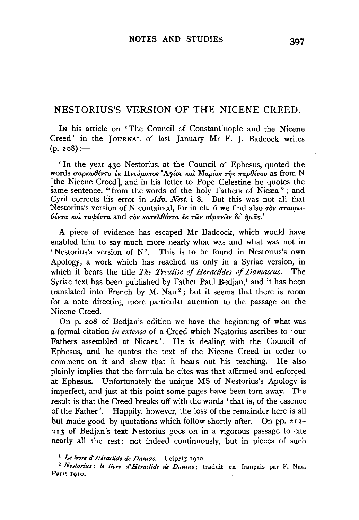# NESTORIUS'S VERSION OF THE NICENE CREED.

IN his article on 'The Council of Constantinople and the Nicene Creed' in the JouRNAL of last January Mr F. J. Badcock writes  $(p. 208)$  :-

' In the year 430 Nestorius, at the Council of Ephesus, quoted the words σαρκωθέντα έκ Πνεύματος 'Αγίου και Μαρίας της παρθένου as from N [the Nicene Creed], and in his letter to Pope Celestine he quotes the same sentence, "from the words of the holy Fathers of Nicæa"; and Cyril corrects his error in *Adv. Nest.* i 8. But this was not all that Nestorius's version of N contained, for in ch. 6 we find also  $\tau$ ov *oravpw*-*OlVTa Kal TacplvTa* and *Tov KaT£A.0oVTa* EK *Twv oilpavwv fit' -YJp.as.'* 

A piece of evidence has escaped Mr Badcock, which would have enabled him to say much more nearly what was and what was not in 'Nestorius's version of N'. This is to be found in Nestorius's own Apology, a work which has reached us only in a Syriac version, in which it bears the title *The Treatise* of *Heraclides of Damascus.* The Syriac text has been published by Father Paul Bedjan,<sup>1</sup> and it has been translated into French by M. Nau 2 ; but it seems that there is room for a note directing more particular attention to the passage on the Nicene Creed.

On p. 208 of Bedjan's edition we have the beginning of what was a formal citation *in extenso* of a Creed which Nestorius ascribes to 'our Fathers assembled at Nicaea '. He is dealing with the Council of Ephesus, and he quotes the text of the Nicene Creed in order to comment on it and shew that it bears out his teaching. He also plainly implies that the formula he cites was that affirmed and enforced at Ephesus. Unfortunately the unique MS of Nestorius's Apology is imperfect, and just at this point some pages have been torn away. The result is that the Creed breaks off with the words 'that is, of the essence of the Father'. Happily, however, the loss of the remainder here is all but made good by quotations which follow shortly after. On pp. 2r2- 213 of Bedjan's text Nestorius goes on in a vigorous passage to cite nearly all the rest: not indeed continuously, but in pieces of such

<sup>1</sup>*Le livre d' Heraclide de Damas.* Leipzig 1910.

<sup>2</sup> Nestorius: le livre d'Héraclide de Damas; traduit en français par F. Nau. Paris 1910.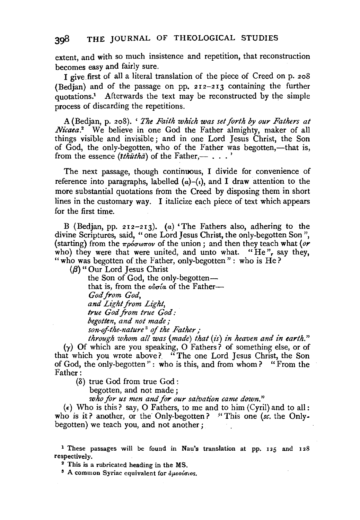extent, and with so much insistence and repetition, that reconstruction becomes easy and fairly sure.

I give first of all a literal translation of the piece of Creed on p. 208 (Bedjan) and of the passage on pp. 212-213 containing the further quotations.1 Afterwards the text may be reconstructed by the simple process of discarding the repetitions.

A (Bedjan, p. 208). ' *The Faith which was set forth by our Fathers at Nicaea.*<sup>2</sup> We believe in one God the Father almighty, maker of all things visible and invisible ; and in one Lord Jesus Christ, the Son of God, the only-begotten, who of the Father was begotten,—that is, from the essence  $(ith\bar{u}th\bar{a})$  of the Father,- $\ldots$ ,

The next passage, though continuous, I divide for convenience of reference into paragraphs, labelled  $(a)-(t)$ , and I draw attention to the more substantial quotations from the Creed by disposing them in short lines in the customary way. I italicize each piece of text which appears for the first time.

B (Bedjan, pp. 212-213). (a) 'The Fathers also, adhering to the divine Scriptures, said, "one Lord Jesus Christ, the only-begotten Son", (starting) from the  $\pi \rho \delta \sigma \omega \pi \sigma \nu$  of the union; and then they teach what  $(\rho \mathbf{r})$ who) they were that were united, and unto what. "He", say they, " who was begotten of the Father, only-begotten" : who is  $He$ ?

 $(\beta)$  " Our Lord Jesus Christ

the Son of God, the only-begotten that is, from the  $\omega \sigma /a$  of the Father--*God from God, and Light from Light, true God from true God: begotten, and not made; son-qfthe-nature* 3 *of the Father;* 

*through whom all was (made) that* (is) *in heaven and in earth."*   $(y)$  Of which are you speaking, O Fathers? of something else, or of that which you wrote above?. " The one Lord Jesus Christ, the Son of God, the only-begotten'' : who is this, and from whom? "From the Father:

(8) true God from true God:

begotten, and not made;

*who for us men and for our salvation came down."* 

( $\epsilon$ ) Who is this? say, O Fathers, to me and to him (Cyril) and to all: who is it? another, or the Only-begotten? "This one *(se.* the Onlybegotten) we teach you, and not another;

<sup>1</sup> These passages will be found in Nau's translation at pp. 125 and 128 respectively. 2 This is a rubricated heading in the MS.

 $s$  A common Syriac equivalent for  $\delta\mu$ ootatos.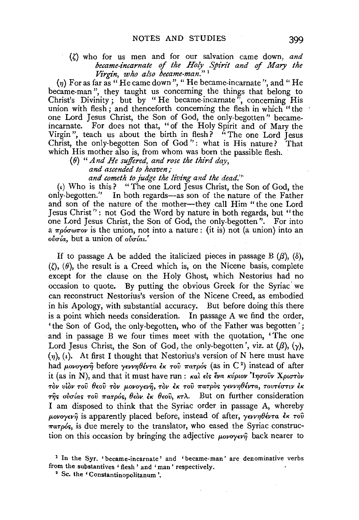## $(\zeta)$  who for us men and for our salvation came down, and *became-incarnate of the Holy Spirit and* of *Mary the Virgin, who also became-man."* <sup>1</sup>

 $(\eta)$  For as far as "He came down", "He became-incarnate", and "He became-man", they taught us concerning the things that belong to Christ's Divinity; but by "He became-incarnate", concerning His union with flesh; and thenceforth concerning the flesh in which "the one Lord Jesus Christ, the Son of God, the only-begotten" becameincarnate. For does not that, "of the Holy Spirit and of Mary the Virgin", teach us about the birth in flesh? "The one Lord Jesus Christ, the only-begotten Son of God'' : what is His nature? That which His mother also is, from whom was born the passible flesh.

(8} *"And He suffered, and rose the third day, and ascended to heaven; and cometh to judge the living and the dead.'''* 

 $(\iota)$  Who is this? "The one Lord Jesus Christ, the Son of God, the

only-begotten.'' In both regards-as son of the nature of the Father and son of the nature of the mother-they call Him " the one Lord Jesus Christ'' : not God the Word by nature in both regards, but "the one Lord Jesus Christ, the Son of God, the only-begotten''. For into a  $\pi \rho \acute{o} \sigma \omega \pi \sigma \nu$  is the union, not into a nature: (it is) not (a union) into an  $o\nu\sigma\acute{a}$ , but a union of  $o\nu\sigma\acute{a}u$ .

If to passage A be added the italicized pieces in passage B  $(\beta)$ ,  $(\delta)$ ,  $(2)$ ,  $(\theta)$ , the result is a Creed which is, on the Nicene basis, complete except for the clause on the Holy Ghost, which Nestorius had no occasion to quote. By putting the obvious Greek for the Syriac we can reconstruct Nestorius's version of the Nicene Creed, as embodied in his Apology, with substantial accuracy. But before doing this there is a point which needs consideration. In passage A we find the order, 'the Son of God, the only-begotten, who of the Father was begotten '; and in passage B we four times meet with the quotation, 'The one Lord Jesus Christ, the Son of God, the only-begotten', viz. at  $(\beta)$ ,  $(\gamma)$ ,  $(\eta)$ , (i). At first I thought that Nestorius's version of N here must have had μονογενή before γεννηθέντα εκ του πατρός (as in C<sup>2</sup>) instead of after it (as in N), and that it must have run: *και είς ένα κύριον* 'Ιησούν Χριστον *Tov viov Tov 8wv Tov p.ovoyorq, Tov* EK *Tov 7raTpos y£vvYJ8lVTa, TovTluTtv* eK Tης ούσίας του πατρός, θεὸν έκ θεου, κτλ. But on further consideration I am disposed to think that the Syriac order in passage A, whereby  $\mu$ ovoy $\epsilon v \hat{\eta}$  is apparently placed before, instead of after,  $\gamma \epsilon v \gamma \theta \epsilon v \tau a \epsilon \kappa \tau o \hat{v}$ *7raTp6s,* is due merely to the translator, who eased the Syriac construction on this occasion by bringing the adjective  $\mu o\nu o\nu \hat{v}$  back nearer to

<sup>2</sup> Sc. the 'Constantinopolitanum'.

<sup>&</sup>lt;sup>1</sup> In the Syr. 'became-incarnate' and 'became-man' are denominative verbs from the substantives ' flesh ' and 'man' respectively.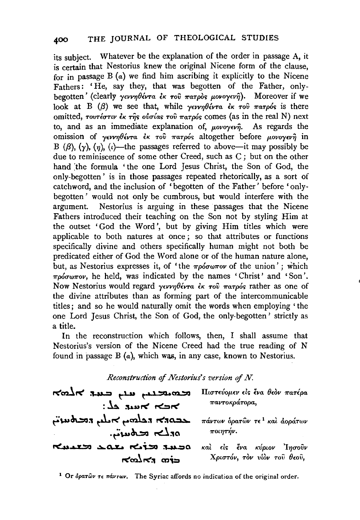its subject. Whatever be the explanation of the order in passage A, it is certain that Nestorius knew the original Nicene form of the clause, for in passage  $B(a)$  we find him ascribing it explicitly to the Nicene Fathers: 'He, say they, that was begotten of the Father, onlybegotten' (clearly *γεννηθέντα εκ του πατρός μονογενή*). Moreover if we look at B  $(\beta)$  we see that, while  $\gamma$ *evvn* $\theta$ *évra*  $\epsilon$ *k το* $\theta$  *πατρός* is there omitted, *TovTtcruv is the olotias Tov TaTp6s* comes (as in the real N) next to, and as an immediate explanation of, *povoyevn*. As regards the omission of *yeW1J8(VTa* £K *Toil 71"aTp6<>* altogether before *p.ovoyevfj* in B ( $\beta$ ),  $(\gamma)$ ,  $(\eta)$ , (i)—the passages referred to above—it may possibly be due to reminiscence of some other Creed, such as C; but on the other hand the formula 'the one Lord Jesus Christ, the Son of God, the only-begotten ' is in those passages repeated rhetorically, as a sort of catchword, and the inclusion of 'begotten of the Father' before 'onlybegotten ' would not only be cumbrous, but would interfere with the argument. Nestorius is arguing in these passages that the Nicene Fathers introduced their teaching on the Son not by styling Him at the outset 'God the Word', but by giving Him titles which were applicable to both natures at once; so that attributes or functions specifically divine and others specifically human might not both be predicated either of God the Word alone or of the human nature alone, but, as Nestorius expresses it, of 'the  $\pi \rho \acute{o} \sigma \omega \pi \sigma \nu$  of the union'; which  $\pi$ *p6cw<sub>70</sub> was* indicated by the names ' Christ' and ' Son'. Now Nestorius would regard *γεννηθέντα* έκ του πατρός rather as one of the divine attributes than as forming part of the intercommunicable titles; and so he would naturally omit the words when employing ' the one Lord Jesus Christ, the Son of God, the only-begotten' strictly as a title.

In the reconstruction which follows, then, I shall assume that Nestorius's version of the Nicene Creed had the true reading of N found in passage B  $(a)$ , which was, in any case, known to Nestorius.

| Reconstruction of Nestorius's version of N. |                                           |
|---------------------------------------------|-------------------------------------------|
| Kalk the use when                           | Πιστεύομεν είς ένα θεόν πατέρα            |
| $2.22$ אפעד בל                              | παντοκράτορα,                             |
| $\lambda$                                   | πάντων δρατών τε <sup>1</sup> καλ αοράτων |
| ەدلىم محلهىيىتى.                            | ποιητήν.                                  |
| neuro sar rio susa                          | καλ είς ένα κύριον Ίησοῢν                 |
| Kany "                                      | Χριστόν, τον νίον του θεού,               |

<sup>1</sup> Or  $\delta$ *paT*ŵv  $\tau \epsilon$   $\pi$ *ávrwv.* The Syriac affords no indication of the original order.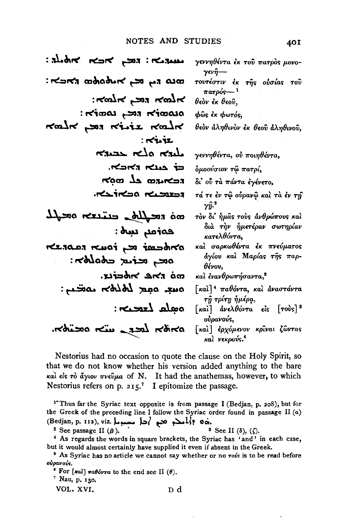#### NOTES AND STUDIES

estate KOK pos: Kasu γεννηθέντα ἐκ τοῦ πατρὸς μονο- $\gamma$ εν $\hat{\eta}$ —-מנח הם כבן אטאסואמה האכשה: τουτέστιν έκ της ούσίας του  $\pi a \tau \rho \acute{o} \varsigma$  –  $^{-1}$  $\kappa$ מלול הבה בימלול θεὸν ἐκ θεοῦ. סנסמודא הכן באמולא: φώς έκ φωτός, Kalk pas Kistz Kalk θεὸν ἀληθινὸν ἐκ θεοῦ ἀληθινοῦ,  $:$   $\kappa$   $\kappa$ KILL Kolo KILL γεννηθέντα, οὐ ποιηθέντα, של האשרה הא όμοούσιον τῷ πατρί, ROOD LA CORNER δι' ού τα πάντα εγένετο, הכצורכם הנגשובה τά τε έν τώ ούρανώ και τα έν τη  $\gamma \hat{n}$ <sup>2</sup> mo reallo everso oral τον δι' ήμας τους ανθρώπους και διὰ τὴν ἡμετέραν σωτηρίαν entay und: κατελθόντα, ALSOLE A FOUNT RODRING καὶ σαρκωθέντα ἐκ πνεύματος άγίου και Μαρίας της παρ- $3\sigma$ adado nosta nos θένου, mà the nheiu. και ένανθρωπήσαντα,<sup>3</sup> our oper Lolbon covers: Γκαλ]<sup>4</sup> παθόντα, και αναστάντα τῆ τρίτη ἡμέρα,  $: \text{const}$  deep:  $\lceil \kappa a \rceil$  ανελθόντα είς  $\lceil \tau o v \rceil^5$ ούρανούς, المخالفة متساحية المخالص [και ] έρχόμενον κρίναι ζώντας καὶ νεκρούς."

Nestorius had no occasion to quote the clause on the Holy Spirit, so that we do not know whether his version added anything to the bare και είς το άγιον πνεύμα of N. It had the anathemas, however, to which Nestorius refers on p.  $215$ .<sup>7</sup> I epitomize the passage.

<sup>1</sup>Thus far the Syriac text opposite is from passage I (Bedjan, p. 208), but for the Greek of the preceding line I follow the Syriac order found in passage II  $(a)$ (Bedjan, p. 112), viz. احط مسموط (Bedjan, p. 112), viz.

<sup>2</sup> See passage II  $(\beta)$ . <sup>3</sup> See II ( $\delta$ ), ( $\zeta$ ). <sup>4</sup> As regards the words in square brackets, the Syriac has 'and' in each case,

but it would almost certainly have supplied it even if absent in the Greek.

<sup>5</sup> As Syriac has no article we cannot say whether or no rovs is to be read before ούρανούς.

<sup>6</sup> For [ $\kappa a$ ]  $\pi a\theta$ óvra to the end see II ( $\theta$ ).

 $7$  Nau, p. 130.

VOL. XVI.

**40I**